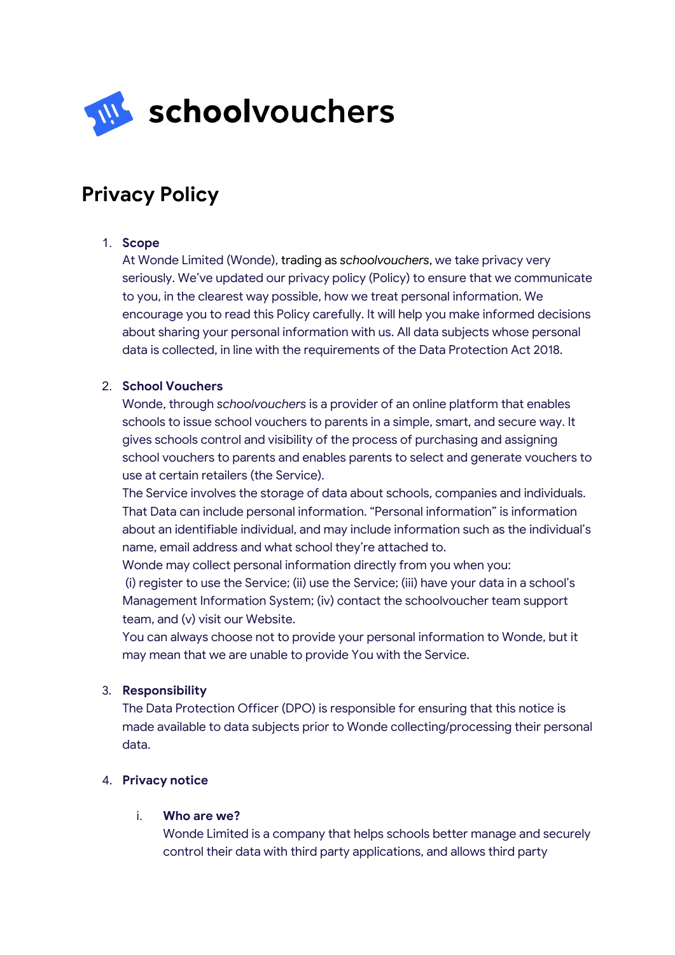

# **Privacy Policy**

## 1. **Scope**

At Wonde Limited (Wonde), trading as *schoolvouchers*, we take privacy very seriously. We've updated our privacy policy (Policy) to ensure that we communicate to you, in the clearest way possible, how we treat personal information. We encourage you to read this Policy carefully. It will help you make informed decisions about sharing your personal information with us. All data subjects whose personal data is collected, in line with the requirements of the Data Protection Act 2018.

## 2. **School Vouchers**

Wonde, through *schoolvouchers* is a provider of an online platform that enables schools to issue school vouchers to parents in a simple, smart, and secure way. It gives schools control and visibility of the process of purchasing and assigning school vouchers to parents and enables parents to select and generate vouchers to use at certain retailers (the Service).

The Service involves the storage of data about schools, companies and individuals. That Data can include personal information. "Personal information" is information about an identifiable individual, and may include information such as the individual's name, email address and what school they're attached to.

Wonde may collect personal information directly from you when you: (i) register to use the Service; (ii) use the Service; (iii) have your data in a school's Management Information System; (iv) contact the schoolvoucher team support team, and (v) visit our Website.

You can always choose not to provide your personal information to Wonde, but it may mean that we are unable to provide You with the Service.

### 3. **Responsibility**

The Data Protection Officer (DPO) is responsible for ensuring that this notice is made available to data subjects prior to Wonde collecting/processing their personal data.

### 4. **Privacy notice**

### i. **Who are we?**

Wonde Limited is a company that helps schools better manage and securely control their data with third party applications, and allows third party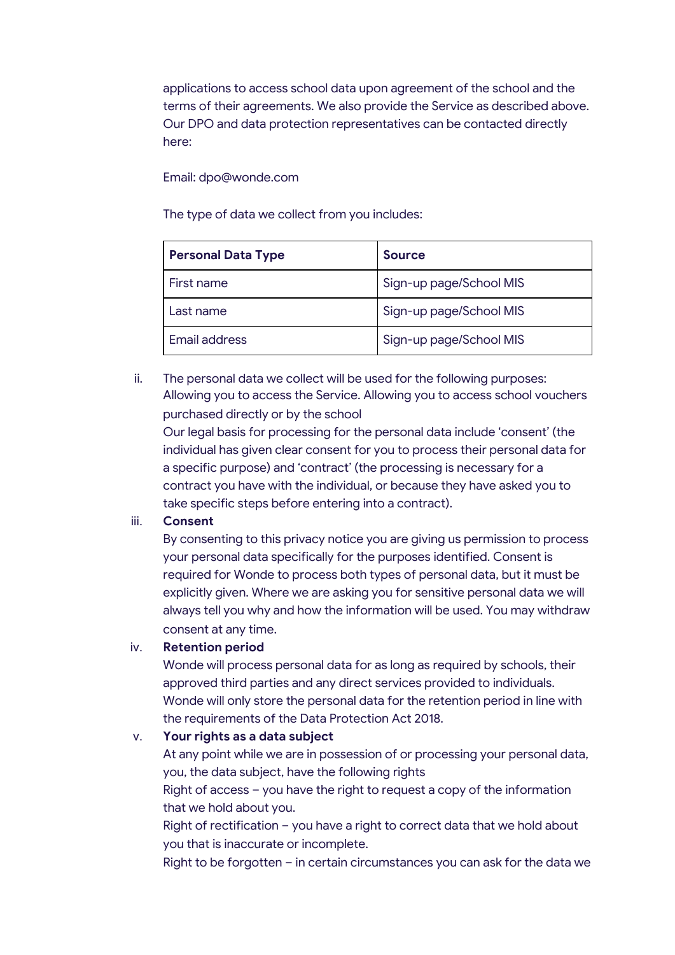applications to access school data upon agreement of the school and the terms of their agreements. We also provide the Service as described above. Our DPO and data protection representatives can be contacted directly here:

## Email: dpo@wonde.com

The type of data we collect from you includes:

| <b>Personal Data Type</b> | <b>Source</b>           |
|---------------------------|-------------------------|
| First name                | Sign-up page/School MIS |
| Last name                 | Sign-up page/School MIS |
| Email address             | Sign-up page/School MIS |

ii. The personal data we collect will be used for the following purposes: Allowing you to access the Service. Allowing you to access school vouchers purchased directly or by the school

Our legal basis for processing for the personal data include 'consent' (the individual has given clear consent for you to process their personal data for a specific purpose) and 'contract' (the processing is necessary for a contract you have with the individual, or because they have asked you to take specific steps before entering into a contract).

# iii. **Consent**

By consenting to this privacy notice you are giving us permission to process your personal data specifically for the purposes identified. Consent is required for Wonde to process both types of personal data, but it must be explicitly given. Where we are asking you for sensitive personal data we will always tell you why and how the information will be used. You may withdraw consent at any time.

# iv. **Retention period**

Wonde will process personal data for as long as required by schools, their approved third parties and any direct services provided to individuals. Wonde will only store the personal data for the retention period in line with the requirements of the Data Protection Act 2018.

# v. **Your rights as a data subject**

At any point while we are in possession of or processing your personal data, you, the data subject, have the following rights

Right of access – you have the right to request a copy of the information that we hold about you.

Right of rectification – you have a right to correct data that we hold about you that is inaccurate or incomplete.

Right to be forgotten – in certain circumstances you can ask for the data we